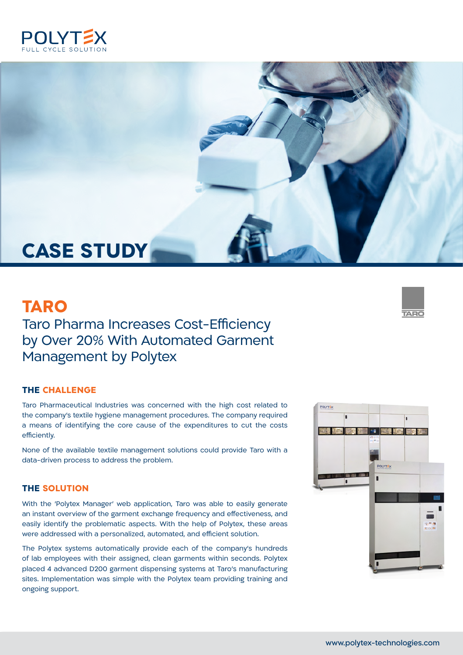



# **TARO**

## Taro Pharma Increases Cost-Efficiency by Over 20% With Automated Garment Management by Polytex

#### **THE CHALLENGE**

Taro Pharmaceutical Industries was concerned with the high cost related to the company's textile hygiene management procedures. The company required a means of identifying the core cause of the expenditures to cut the costs efficiently.

None of the available textile management solutions could provide Taro with a data-driven process to address the problem.

#### **THE SOLUTION**

With the 'Polytex Manager' web application, Taro was able to easily generate an instant overview of the garment exchange frequency and effectiveness, and easily identify the problematic aspects. With the help of Polytex, these areas were addressed with a personalized, automated, and efficient solution.

The Polytex systems automatically provide each of the company's hundreds of lab employees with their assigned, clean garments within seconds. Polytex placed 4 advanced D200 garment dispensing systems at Taro's manufacturing sites. Implementation was simple with the Polytex team providing training and ongoing support.



**TARO**